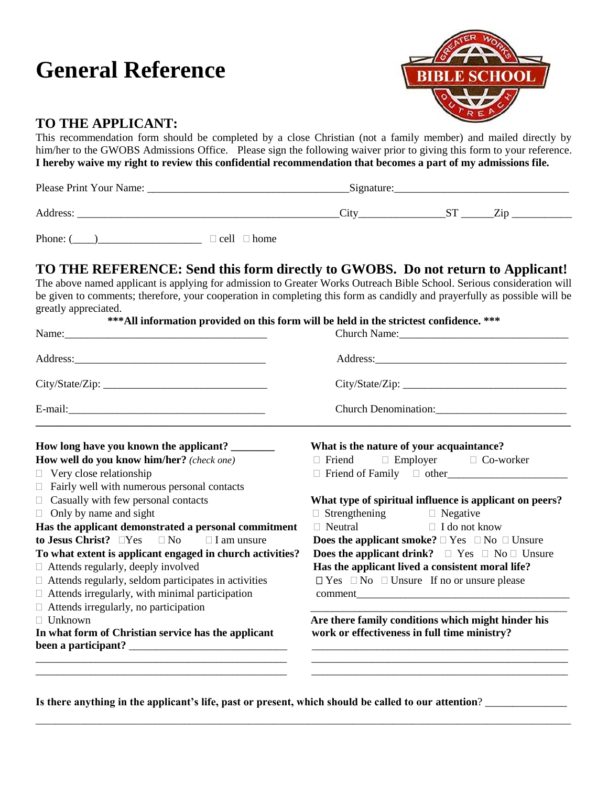# **General Reference**



## **TO THE APPLICANT:**

This recommendation form should be completed by a close Christian (not a family member) and mailed directly by him/her to the GWOBS Admissions Office. Please sign the following waiver prior to giving this form to your reference. **I hereby waive my right to review this confidential recommendation that becomes a part of my admissions file.**

| Please Print Your Name: | Signature:      |  |       |
|-------------------------|-----------------|--|-------|
| Address:                | $^{\prime}$ ity |  | / 1 n |

Phone:  $(\_\_\_\_\_\_$ 

### **TO THE REFERENCE: Send this form directly to GWOBS. Do not return to Applicant!**

The above named applicant is applying for admission to Greater Works Outreach Bible School. Serious consideration will be given to comments; therefore, your cooperation in completing this form as candidly and prayerfully as possible will be greatly appreciated.

| ***All information provided on this form will be held in the strictest confidence. *** |  |  |  |  |
|----------------------------------------------------------------------------------------|--|--|--|--|
|----------------------------------------------------------------------------------------|--|--|--|--|

|                                                             | Church Name:                                                        |  |  |
|-------------------------------------------------------------|---------------------------------------------------------------------|--|--|
|                                                             |                                                                     |  |  |
| City/State/Zip:                                             |                                                                     |  |  |
| E-mail:                                                     | Church Denomination:<br><u> </u>                                    |  |  |
| How long have you known the applicant? _______              | What is the nature of your acquaintance?                            |  |  |
| How well do you know him/her? (check one)                   | $\Box$ Friend $\Box$ Employer $\Box$ Co-worker                      |  |  |
| $\Box$ Very close relationship                              |                                                                     |  |  |
| $\Box$ Fairly well with numerous personal contacts          |                                                                     |  |  |
| $\Box$ Casually with few personal contacts                  | What type of spiritual influence is applicant on peers?             |  |  |
| $\Box$ Only by name and sight                               | $\Box$ Strengthening $\Box$ Negative                                |  |  |
| Has the applicant demonstrated a personal commitment        | $\Box$ Neutral $\Box$ I do not know                                 |  |  |
| to Jesus Christ? $\Box$ Yes $\Box$ No $\Box$ I am unsure    | <b>Does the applicant smoke?</b> $\Box$ Yes $\Box$ No $\Box$ Unsure |  |  |
| To what extent is applicant engaged in church activities?   | <b>Does the applicant drink?</b> $\Box$ Yes $\Box$ No $\Box$ Unsure |  |  |
| $\Box$ Attends regularly, deeply involved                   | Has the applicant lived a consistent moral life?                    |  |  |
| $\Box$ Attends regularly, seldom participates in activities | $\Box$ Yes $\Box$ No $\Box$ Unsure If no or unsure please           |  |  |
| $\Box$ Attends irregularly, with minimal participation      |                                                                     |  |  |
| $\Box$ Attends irregularly, no participation                |                                                                     |  |  |
| $\Box$ Unknown                                              | Are there family conditions which might hinder his                  |  |  |
| In what form of Christian service has the applicant         | work or effectiveness in full time ministry?                        |  |  |
|                                                             |                                                                     |  |  |
|                                                             |                                                                     |  |  |

\_\_\_\_\_\_\_\_\_\_\_\_\_\_\_\_\_\_\_\_\_\_\_\_\_\_\_\_\_\_\_\_\_\_\_\_\_\_\_\_\_\_\_\_\_\_\_\_\_\_\_\_\_\_\_\_\_\_\_\_\_\_\_\_\_\_\_\_\_\_\_\_\_\_\_\_\_\_\_\_\_\_\_\_\_\_\_\_\_\_\_\_\_\_\_\_\_\_\_\_\_\_\_\_\_\_\_\_

Is there anything in the applicant's life, past or present, which should be called to our attention? **\_\_\_\_\_\_\_\_\_**